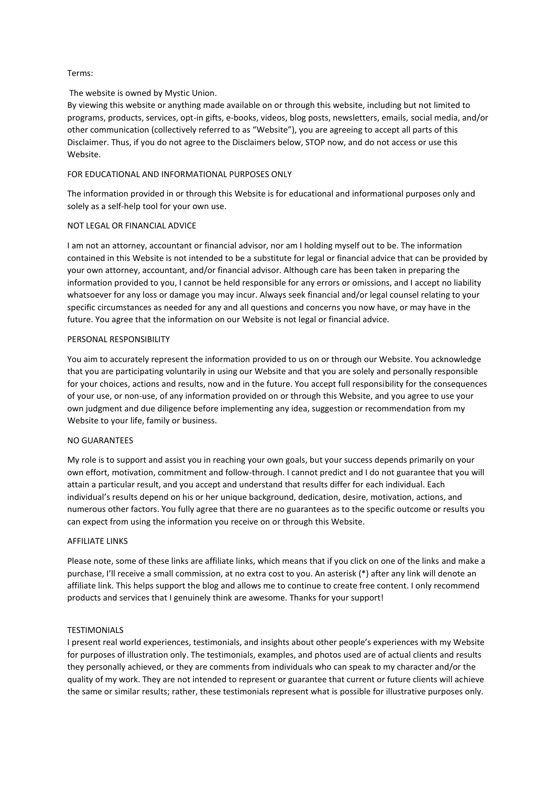### Terms:

# The website is owned by Mystic Union.

By viewing this website or anything made available on or through this website, including but not limited to programs, products, services, opt-in gifts, e-books, videos, blog posts, newsletters, emails, social media, and/or other communication (collectively referred to as "Website"), you are agreeing to accept all parts of this Disclaimer. Thus, if you do not agree to the Disclaimers below, STOP now, and do not access or use this Website.

## FOR EDUCATIONAL AND INFORMATIONAL PURPOSES ONLY

The information provided in or through this Website is for educational and informational purposes only and solely as a self-help tool for your own use.

### NOT LEGAL OR FINANCIAL ADVICE

I am not an attorney, accountant or financial advisor, nor am I holding myself out to be. The information contained in this Website is not intended to be a substitute for legal or financial advice that can be provided by your own attorney, accountant, and/or financial advisor. Although care has been taken in preparing the information provided to you, I cannot be held responsible for any errors or omissions, and I accept no liability whatsoever for any loss or damage you may incur. Always seek financial and/or legal counsel relating to your specific circumstances as needed for any and all questions and concerns you now have, or may have in the future. You agree that the information on our Website is not legal or financial advice.

### PERSONAL RESPONSIBILITY

You aim to accurately represent the information provided to us on or through our Website. You acknowledge that you are participating voluntarily in using our Website and that you are solely and personally responsible for your choices, actions and results, now and in the future. You accept full responsibility for the consequences of your use, or non-use, of any information provided on or through this Website, and you agree to use your own judgment and due diligence before implementing any idea, suggestion or recommendation from my Website to your life, family or business.

### NO GUARANTEES

My role is to support and assist you in reaching your own goals, but your success depends primarily on your own effort, motivation, commitment and follow-through. I cannot predict and I do not guarantee that you will attain a particular result, and you accept and understand that results differ for each individual. Each individual's results depend on his or her unique background, dedication, desire, motivation, actions, and numerous other factors. You fully agree that there are no guarantees as to the specific outcome or results you can expect from using the information you receive on or through this Website.

### AFFILIATE LINKS

Please note, some of these links are affiliate links, which means that if you click on one of the links and make a purchase, I'll receive a small commission, at no extra cost to you. An asterisk (\*) after any link will denote an affiliate link. This helps support the blog and allows me to continue to create free content. I only recommend products and services that I genuinely think are awesome. Thanks for your support!

### **TESTIMONIALS**

I present real world experiences, testimonials, and insights about other people's experiences with my Website for purposes of illustration only. The testimonials, examples, and photos used are of actual clients and results they personally achieved, or they are comments from individuals who can speak to my character and/or the quality of my work. They are not intended to represent or guarantee that current or future clients will achieve the same or similar results; rather, these testimonials represent what is possible for illustrative purposes only.